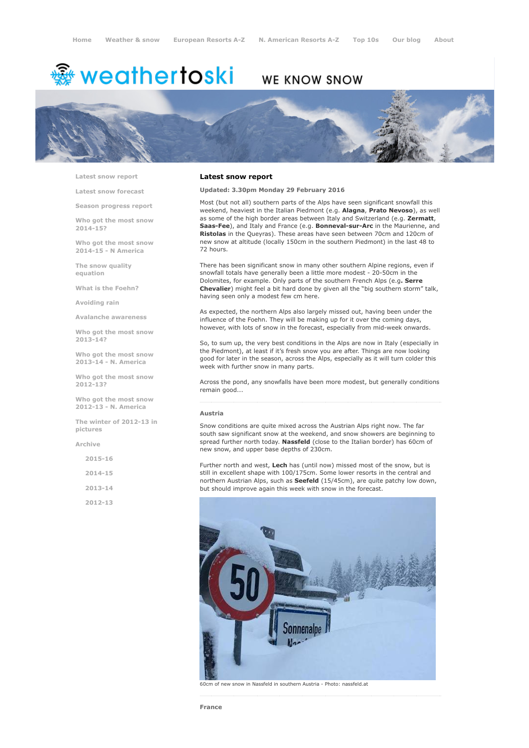# <sup>鑫</sup> weathertoski

## WE KNOW SNOW



Latest snow [report](http://www.weathertoski.co.uk/weather-snow/latest-snow-report/)

Latest snow [forecast](http://www.weathertoski.co.uk/weather-snow/latest-snow-forecast/)

Season [progress](http://www.weathertoski.co.uk/weather-snow/season-progress-report/) report

Who got the most snow 2014-15?

Who got the most snow 2014-15 - N America

The snow quality [equation](http://www.weathertoski.co.uk/weather-snow/the-snow-quality-equation/)

What is the [Foehn?](http://www.weathertoski.co.uk/weather-snow/what-is-the-foehn/)

[Avoiding](http://www.weathertoski.co.uk/weather-snow/avoiding-rain/) rain

Avalanche [awareness](http://www.weathertoski.co.uk/weather-snow/avalanche-awareness/)

Who got the most snow 2013-14?

Who got the most snow 2013-14 - N. America

Who got the most snow 2012-13?

Who got the most snow 2012-13 - N. America

The winter of 2012-13 in pictures

[Archive](http://www.weathertoski.co.uk/weather-snow/archive/)

2015-16

2014-15

2013-14

2012-13

#### Latest snow report

Updated: 3.30pm Monday 29 February 2016

Most (but not all) southern parts of the Alps have seen significant snowfall this weekend, heaviest in the Italian Piedmont (e.g. Alagna, Prato Nevoso), as well as some of the high border areas between Italy and Switzerland (e.g. Zermatt, Saas-Fee), and Italy and France (e.g. Bonneval-sur-Arc in the Maurienne, and Ristolas in the Queyras). These areas have seen between 70cm and 120cm of new snow at altitude (locally 150cm in the southern Piedmont) in the last 48 to 72 hours.

There has been significant snow in many other southern Alpine regions, even if snowfall totals have generally been a little more modest - 20-50cm in the Dolomites, for example. Only parts of the southern French Alps (e.g. Serre Chevalier) might feel a bit hard done by given all the "big southern storm" talk, having seen only a modest few cm here.

As expected, the northern Alps also largely missed out, having been under the influence of the Foehn. They will be making up for it over the coming days, however, with lots of snow in the forecast, especially from mid-week onwards.

So, to sum up, the very best conditions in the Alps are now in Italy (especially in the Piedmont), at least if it's fresh snow you are after. Things are now looking good for later in the season, across the Alps, especially as it will turn colder this week with further snow in many parts.

Across the pond, any snowfalls have been more modest, but generally conditions remain good...

#### Austria

Snow conditions are quite mixed across the Austrian Alps right now. The far south saw significant snow at the weekend, and snow showers are beginning to spread further north today. Nassfeld (close to the Italian border) has 60cm of new snow, and upper base depths of 230cm.

Further north and west, Lech has (until now) missed most of the snow, but is still in excellent shape with 100/175cm. Some lower resorts in the central and northern Austrian Alps, such as **Seefeld** (15/45cm), are quite patchy low down, but should improve again this week with snow in the forecast.

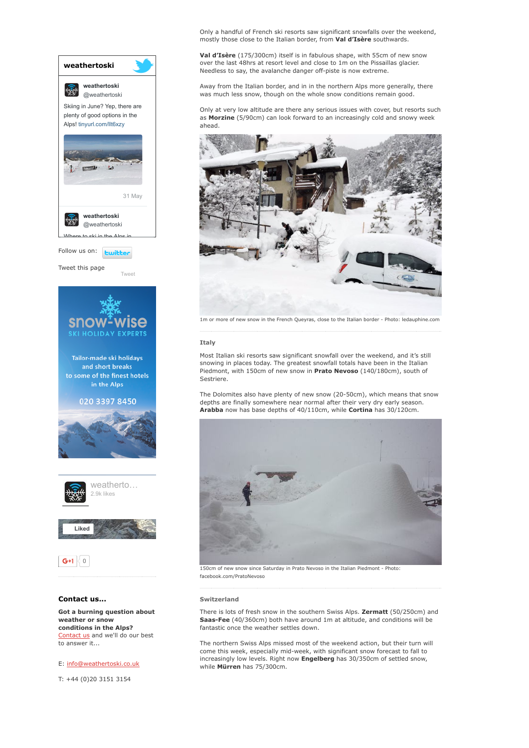

weather or snow conditions in the Alps? [Contact](http://www.weathertoski.co.uk/about-1/contact-us/) us and we'll do our best to answer it...

### E: [info@weathertoski.co.uk](mailto:fraser@weathertoski.co.uk)

T: +44 (0)20 3151 3154

Only a handful of French ski resorts saw significant snowfalls over the weekend, mostly those close to the Italian border, from Val d'Isère southwards.

Val d'Isère (175/300cm) itself is in fabulous shape, with 55cm of new snow over the last 48hrs at resort level and close to 1m on the Pissaillas glacier. Needless to say, the avalanche danger off-piste is now extreme.

Away from the Italian border, and in in the northern Alps more generally, there was much less snow, though on the whole snow conditions remain good.

Only at very low altitude are there any serious issues with cover, but resorts such as Morzine (5/90cm) can look forward to an increasingly cold and snowy week ahead.



1m or more of new snow in the French Queyras, close to the Italian border - Photo: ledauphine.com

#### **Ttaly**

Most Italian ski resorts saw significant snowfall over the weekend, and it's still snowing in places today. The greatest snowfall totals have been in the Italian Piedmont, with 150cm of new snow in Prato Nevoso (140/180cm), south of Sestriere.

The Dolomites also have plenty of new snow (20-50cm), which means that snow depths are finally somewhere near normal after their very dry early season. Arabba now has base depths of 40/110cm, while Cortina has 30/120cm.



150cm of new snow since Saturday in Prato Nevoso in the Italian Piedmont Photo: facebook.com/PratoNevoso

#### Switzerland

There is lots of fresh snow in the southern Swiss Alps. Zermatt (50/250cm) and Saas-Fee (40/360cm) both have around 1m at altitude, and conditions will be fantastic once the weather settles down.

The northern Swiss Alps missed most of the weekend action, but their turn will come this week, especially mid-week, with significant snow forecast to fall to increasingly low levels. Right now Engelberg has 30/350cm of settled snow, while Mürren has 75/300cm.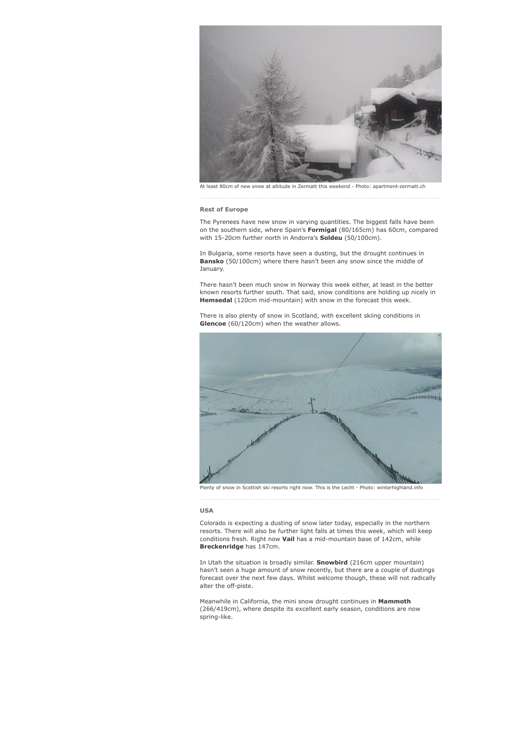

At least 80cm of new snow at altitude in Zermatt this weekend - Photo:

#### Rest of Europe

The Pyrenees have new snow in varying quantities. The biggest falls have been on the southern side, where Spain's Formigal (80/165cm) has 60cm, compared with 15-20cm further north in Andorra's **Soldeu** (50/100cm).

In Bulgaria, some resorts have seen a dusting, but the drought continues in Bansko (50/100cm) where there hasn't been any snow since the middle of January.

There hasn't been much snow in Norway this week either, at least in the better known resorts further south. That said, snow conditions are holding up nicely in Hemsedal (120cm mid-mountain) with snow in the forecast this week.

There is also plenty of snow in Scotland, with excellent skiing conditions in Glencoe (60/120cm) when the weather allows.



Plenty of snow in Scottish ski resorts right now. This is the Lecht - Photo: winterhighland.info

#### USA

Colorado is expecting a dusting of snow later today, especially in the northern resorts. There will also be further light falls at times this week, which will keep conditions fresh. Right now Vail has a mid-mountain base of  $142 \text{cm}$ , while Breckenridge has 147cm.

In Utah the situation is broadly similar. Snowbird (216cm upper mountain) hasn't seen a huge amount of snow recently, but there are a couple of dustings forecast over the next few days. Whilst welcome though, these will not radically alter the off-piste.

Meanwhile in California, the mini snow drought continues in Mammoth (266/419cm), where despite its excellent early season, conditions are now spring-like.